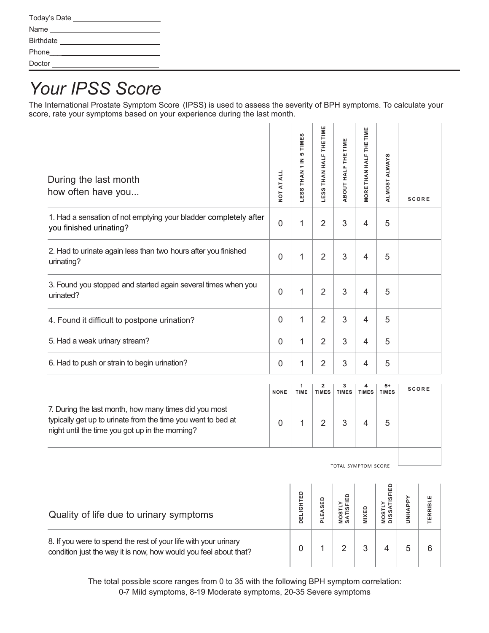| Today's Date     |  |
|------------------|--|
| Name             |  |
| <b>Birthdate</b> |  |
| Phone            |  |
| Doctor           |  |

## *Your IPSS Score*

The International Prostate Symptom Score (IPSS) is used to assess the severity of BPH symptoms. To calculate your score, rate your symptoms based on your experience during the last month.

| During the last month<br>how often have you                                                                                                                              | <b>NOT AT ALL</b>   | 5 TIMES<br>THAN <sub>1</sub> IN<br>LESS <sup>-</sup> | THAN HALF THE TIME<br>LESS <sup>-</sup> | ABOUT HALF THE TIME         | ш<br><b>MORETHAN HALF THE TIM</b> | ALMOST ALWAYS                        |                | <b>SCORE</b> |
|--------------------------------------------------------------------------------------------------------------------------------------------------------------------------|---------------------|------------------------------------------------------|-----------------------------------------|-----------------------------|-----------------------------------|--------------------------------------|----------------|--------------|
| 1. Had a sensation of not emptying your bladder completely after<br>you finished urinating?                                                                              | $\mathbf 0$         | 1                                                    | $\overline{2}$                          | 3                           | $\overline{4}$                    | 5                                    |                |              |
| 2. Had to urinate again less than two hours after you finished<br>urinating?                                                                                             | $\mathbf 0$         | 1                                                    | $\overline{2}$                          | 3                           | $\overline{4}$                    | 5                                    |                |              |
| 3. Found you stopped and started again several times when you<br>urinated?                                                                                               | $\overline{0}$      | 1                                                    | $\overline{2}$                          | 3                           | $\overline{4}$                    | 5                                    |                |              |
| 4. Found it difficult to postpone urination?                                                                                                                             | $\mathbf 0$         | 1                                                    | $\overline{2}$                          | 3                           | $\overline{4}$                    | 5                                    |                |              |
| 5. Had a weak urinary stream?                                                                                                                                            | $\mathbf{0}$        | 1                                                    | $\overline{2}$                          | 3                           | $\overline{4}$                    | 5                                    |                |              |
| 6. Had to push or strain to begin urination?                                                                                                                             | $\mathbf 0$         | 1                                                    | $\overline{2}$                          | 3                           | $\overline{4}$                    | 5                                    |                |              |
|                                                                                                                                                                          | <b>NONE</b>         | 1<br>TIME                                            | $\overline{\mathbf{2}}$<br><b>TIMES</b> | з<br><b>TIMES</b>           | 4<br><b>TIMES</b>                 | $5+$<br><b>TIMES</b>                 |                | <b>SCORE</b> |
| 7. During the last month, how many times did you most<br>typically get up to urinate from the time you went to bed at<br>night until the time you got up in the morning? | $\overline{0}$      | 1                                                    | $\overline{2}$                          | 3                           | $\overline{4}$                    | 5                                    |                |              |
|                                                                                                                                                                          | TOTAL SYMPTOM SCORE |                                                      |                                         |                             |                                   |                                      |                |              |
| Quality of life due to urinary symptoms                                                                                                                                  |                     | DELIGHTED                                            | PLEASED                                 | <b>MOSTLY<br/>SATISFIED</b> | <b>MIXED</b>                      | <b>DISSATISFIED</b><br><b>MOSTLY</b> | <b>UNHAPPY</b> | TERRIBLE     |
| 8. If you were to spend the rest of your life with your urinary<br>condition just the way it is now, how would you feel about that?                                      |                     | 0                                                    | $\mathbf{1}$                            | $\overline{2}$              | $\ensuremath{\mathsf{3}}$         | 4                                    | 5              | 6            |

The total possible score ranges from 0 to 35 with the following BPH symptom correlation: 0-7 Mild symptoms, 8-19 Moderate symptoms, 20-35 Severe symptoms